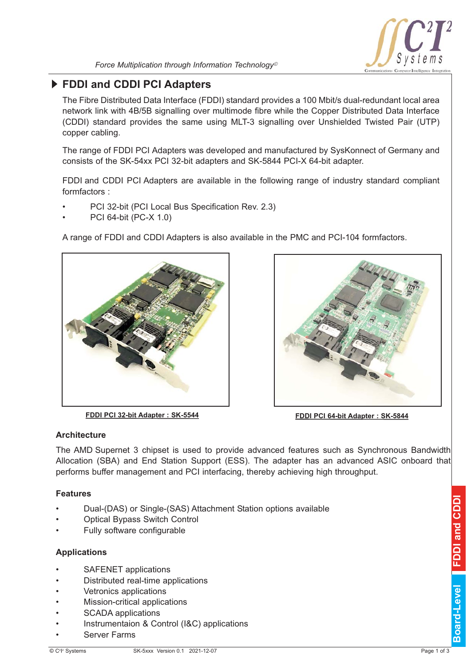

# **FDDI and CDDI PCI Adapters**

The Fibre Distributed Data Interface (FDDI) standard provides a 100 Mbit/s dualredundant local area network link with 4B/5B signalling over multimode fibre while the Copper Distributed Data Interface (CDDI) standard provides the same using MLT3 signalling over Unshielded Twisted Pair (UTP) copper cabling.

The range of FDDI PCI Adapters was developed and manufactured by SysKonnect of Germany and consists of the SK-54xx PCI 32-bit adapters and SK-5844 PCI-X 64-bit adapter.

FDDI and CDDI PCI Adapters are available in the following range of industry standard compliant formfactors :

- PCI 32-bit (PCI Local Bus Specification Rev. 2.3)
- PCI 64-bit (PC-X 1.0)

A range of FDDI and CDDI Adapters is also available in the PMC and PCI-104 formfactors.



**FDDI PCI 32-bit Adapter : SK-5544 FDDI PCI 64-bit Adapter : SK-5844** 



## **Architecture**

The AMD Supernet 3 chipset is used to provide advanced features such as Synchronous Bandwidth Allocation (SBA) and End Station Support (ESS). The adapter has an advanced ASIC onboard that performs buffer management and PCI interfacing, thereby achieving high throughput.

### **Features**

- Dual-(DAS) or Single-(SAS) Attachment Station options available
- Optical Bypass Switch Control
- Fully software configurable

### **Applications**

- SAFENET applications
- Distributed real-time applications
- Vetronics applications
- Mission-critical applications
- SCADA applications
- Instrumentaion & Control (I&C) applications
- Server Farms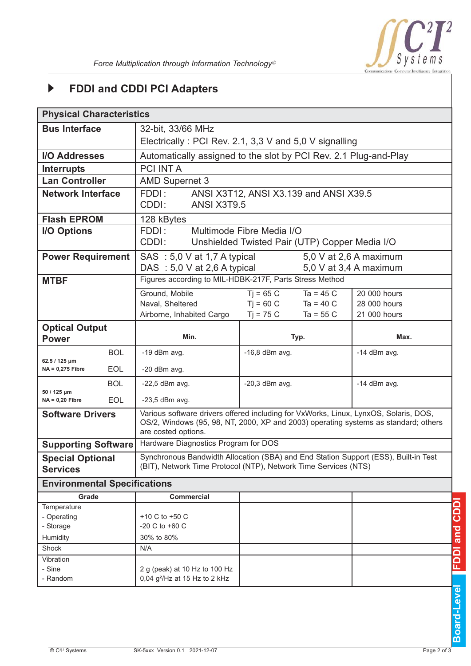

#### **FDDI and CDDI PCI Adapters**  $\blacktriangleright$

| <b>Physical Characteristics</b>            |            |                                                                                                                                                                                                    |                                    |                        |  |  |  |  |  |  |
|--------------------------------------------|------------|----------------------------------------------------------------------------------------------------------------------------------------------------------------------------------------------------|------------------------------------|------------------------|--|--|--|--|--|--|
|                                            |            |                                                                                                                                                                                                    |                                    |                        |  |  |  |  |  |  |
| <b>Bus Interface</b>                       |            | 32-bit, 33/66 MHz                                                                                                                                                                                  |                                    |                        |  |  |  |  |  |  |
|                                            |            | Electrically: PCI Rev. 2.1, 3,3 V and 5,0 V signalling                                                                                                                                             |                                    |                        |  |  |  |  |  |  |
| <b>I/O Addresses</b>                       |            | Automatically assigned to the slot by PCI Rev. 2.1 Plug-and-Play                                                                                                                                   |                                    |                        |  |  |  |  |  |  |
| <b>Interrupts</b>                          |            | <b>PCI INT A</b>                                                                                                                                                                                   |                                    |                        |  |  |  |  |  |  |
| <b>Lan Controller</b>                      |            | <b>AMD Supernet 3</b>                                                                                                                                                                              |                                    |                        |  |  |  |  |  |  |
| <b>Network Interface</b>                   |            | FDDI:<br>ANSI X3T12, ANSI X3.139 and ANSI X39.5                                                                                                                                                    |                                    |                        |  |  |  |  |  |  |
|                                            |            | CDDI:<br>ANSI X3T9.5                                                                                                                                                                               |                                    |                        |  |  |  |  |  |  |
| <b>Flash EPROM</b>                         |            | 128 kBytes                                                                                                                                                                                         |                                    |                        |  |  |  |  |  |  |
| <b>I/O Options</b>                         |            | FDDI:<br>Multimode Fibre Media I/O                                                                                                                                                                 |                                    |                        |  |  |  |  |  |  |
|                                            |            | CDDI:<br>Unshielded Twisted Pair (UTP) Copper Media I/O                                                                                                                                            |                                    |                        |  |  |  |  |  |  |
| <b>Power Requirement</b>                   |            | SAS : 5,0 V at 1,7 A typical                                                                                                                                                                       |                                    | 5,0 V at 2,6 A maximum |  |  |  |  |  |  |
|                                            |            | DAS : $5,0 \text{ V}$ at 2,6 A typical                                                                                                                                                             | 5,0 V at 3,4 A maximum             |                        |  |  |  |  |  |  |
| <b>MTBF</b>                                |            | Figures according to MIL-HDBK-217F, Parts Stress Method                                                                                                                                            |                                    |                        |  |  |  |  |  |  |
|                                            |            | Ground, Mobile                                                                                                                                                                                     | $Ti = 65 C$<br>Ta = $45 \text{ C}$ | 20 000 hours           |  |  |  |  |  |  |
|                                            |            | Naval, Sheltered                                                                                                                                                                                   | $Ti = 60 C$<br>$Ta = 40 C$         | 28 000 hours           |  |  |  |  |  |  |
|                                            |            | Airborne, Inhabited Cargo                                                                                                                                                                          | $Ti = 75 C$<br>Ta = $55 \text{ C}$ | 21 000 hours           |  |  |  |  |  |  |
| <b>Optical Output</b>                      |            |                                                                                                                                                                                                    |                                    |                        |  |  |  |  |  |  |
| <b>Power</b>                               |            | Min.                                                                                                                                                                                               | Typ.                               | Max.                   |  |  |  |  |  |  |
|                                            | <b>BOL</b> | -19 dBm avg.                                                                                                                                                                                       | $-16,8$ dBm avg.                   | $-14$ dBm avg.         |  |  |  |  |  |  |
| 62.5 / 125 µm<br>$NA = 0,275$ Fibre        | <b>EOL</b> | -20 dBm avg.                                                                                                                                                                                       |                                    |                        |  |  |  |  |  |  |
|                                            | <b>BOL</b> | $-22,5$ dBm avg.                                                                                                                                                                                   | $-20,3$ dBm avg.                   | $-14$ dBm avg.         |  |  |  |  |  |  |
| 50 / 125 µm                                |            |                                                                                                                                                                                                    |                                    |                        |  |  |  |  |  |  |
| $NA = 0,20$ Fibre                          | <b>EOL</b> | $-23,5$ dBm avg.                                                                                                                                                                                   |                                    |                        |  |  |  |  |  |  |
| <b>Software Drivers</b>                    |            | Various software drivers offered including for VxWorks, Linux, LynxOS, Solaris, DOS,<br>OS/2, Windows (95, 98, NT, 2000, XP and 2003) operating systems as standard; others<br>are costed options. |                                    |                        |  |  |  |  |  |  |
| <b>Supporting Software</b>                 |            | Hardware Diagnostics Program for DOS                                                                                                                                                               |                                    |                        |  |  |  |  |  |  |
| <b>Special Optional</b><br><b>Services</b> |            | Synchronous Bandwidth Allocation (SBA) and End Station Support (ESS), Built-in Test<br>(BIT), Network Time Protocol (NTP), Network Time Services (NTS)                                             |                                    |                        |  |  |  |  |  |  |
|                                            |            |                                                                                                                                                                                                    |                                    |                        |  |  |  |  |  |  |
| <b>Environmental Specifications</b>        |            |                                                                                                                                                                                                    |                                    |                        |  |  |  |  |  |  |
| Grade                                      |            | <b>Commercial</b>                                                                                                                                                                                  |                                    |                        |  |  |  |  |  |  |
| Temperature                                |            |                                                                                                                                                                                                    |                                    |                        |  |  |  |  |  |  |
| - Operating                                |            | +10 C to +50 C                                                                                                                                                                                     |                                    |                        |  |  |  |  |  |  |
| - Storage                                  |            | $-20$ C to $+60$ C                                                                                                                                                                                 |                                    |                        |  |  |  |  |  |  |
| Humidity<br>Shock                          |            | 30% to 80%<br>N/A                                                                                                                                                                                  |                                    |                        |  |  |  |  |  |  |
| Vibration                                  |            |                                                                                                                                                                                                    |                                    |                        |  |  |  |  |  |  |
| - Sine<br>- Random                         |            | 2 g (peak) at 10 Hz to 100 Hz<br>0,04 g <sup>2</sup> /Hz at 15 Hz to 2 kHz                                                                                                                         |                                    |                        |  |  |  |  |  |  |